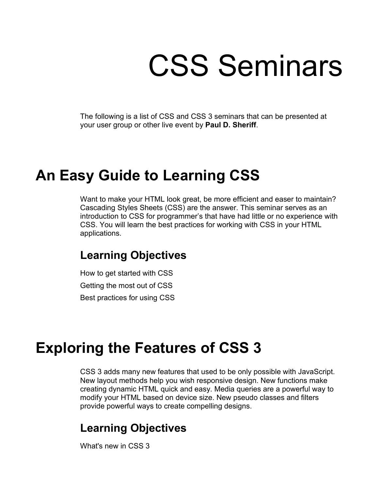# CSS Seminars

The following is a list of CSS and CSS 3 seminars that can be presented at your user group or other live event by **Paul D. Sheriff**.

## **An Easy Guide to Learning CSS**

Want to make your HTML look great, be more efficient and easer to maintain? Cascading Styles Sheets (CSS) are the answer. This seminar serves as an introduction to CSS for programmer's that have had little or no experience with CSS. You will learn the best practices for working with CSS in your HTML applications.

#### **Learning Objectives**

How to get started with CSS Getting the most out of CSS Best practices for using CSS

## **Exploring the Features of CSS 3**

CSS 3 adds many new features that used to be only possible with JavaScript. New layout methods help you wish responsive design. New functions make creating dynamic HTML quick and easy. Media queries are a powerful way to modify your HTML based on device size. New pseudo classes and filters provide powerful ways to create compelling designs.

### **Learning Objectives**

What's new in CSS 3